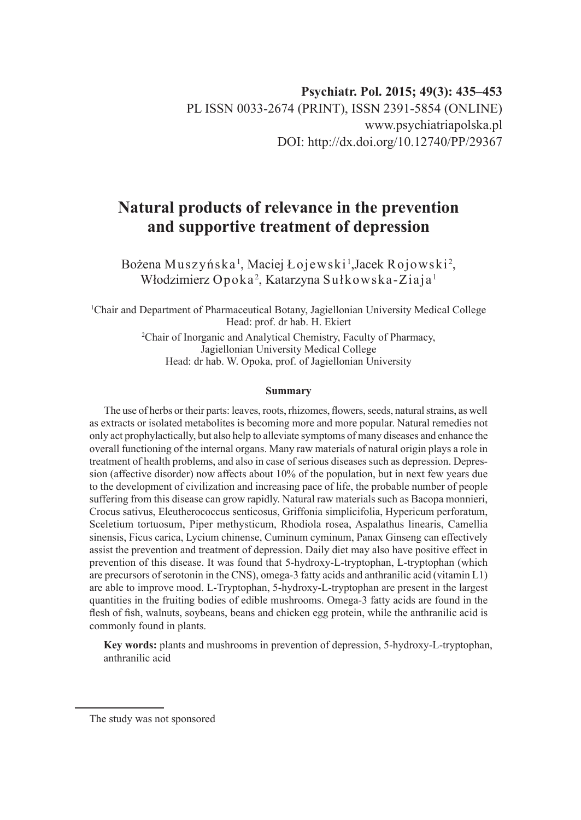# **Natural products of relevance in the prevention and supportive treatment of depression**

Bożena Muszyńska<sup>1</sup>, Maciej Łojewski <sup>1</sup>,Jacek Rojowski<sup>2</sup>, Włodzimierz Opoka<sup>2</sup>, Katarzyna Sułkowska-Ziaja<sup>1</sup>

1 Chair and Department of Pharmaceutical Botany, Jagiellonian University Medical College Head: prof. dr hab. H. Ekiert

> 2 Chair of Inorganic and Analytical Chemistry, Faculty of Pharmacy, Jagiellonian University Medical College Head: dr hab. W. Opoka, prof. of Jagiellonian University

#### **Summary**

The use of herbs or their parts: leaves, roots, rhizomes, flowers, seeds, natural strains, as well as extracts or isolated metabolites is becoming more and more popular. Natural remedies not only act prophylactically, but also help to alleviate symptoms of many diseases and enhance the overall functioning of the internal organs. Many raw materials of natural origin plays a role in treatment of health problems, and also in case of serious diseases such as depression. Depression (affective disorder) now affects about 10% of the population, but in next few years due to the development of civilization and increasing pace of life, the probable number of people suffering from this disease can grow rapidly. Natural raw materials such as Bacopa monnieri, Crocus sativus, Eleutherococcus senticosus, Griffonia simplicifolia, Hypericum perforatum, Sceletium tortuosum, Piper methysticum, Rhodiola rosea, Aspalathus linearis, Camellia sinensis, Ficus carica, Lycium chinense, Cuminum cyminum, Panax Ginseng can effectively assist the prevention and treatment of depression. Daily diet may also have positive effect in prevention of this disease. It was found that 5-hydroxy-L-tryptophan, L-tryptophan (which are precursors of serotonin in the CNS), omega-3 fatty acids and anthranilic acid (vitamin L1) are able to improve mood. L-Tryptophan, 5-hydroxy-L-tryptophan are present in the largest quantities in the fruiting bodies of edible mushrooms. Omega-3 fatty acids are found in the flesh of fish, walnuts, soybeans, beans and chicken egg protein, while the anthranilic acid is commonly found in plants.

**Key words:** plants and mushrooms in prevention of depression, 5-hydroxy-L-tryptophan, anthranilic acid

The study was not sponsored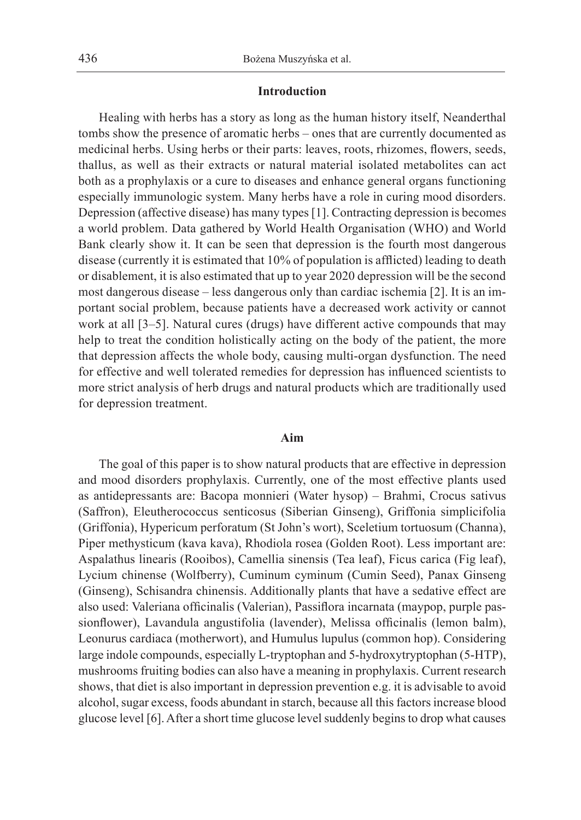# **Introduction**

Healing with herbs has a story as long as the human history itself, Neanderthal tombs show the presence of aromatic herbs – ones that are currently documented as medicinal herbs. Using herbs or their parts: leaves, roots, rhizomes, flowers, seeds, thallus, as well as their extracts or natural material isolated metabolites can act both as a prophylaxis or a cure to diseases and enhance general organs functioning especially immunologic system. Many herbs have a role in curing mood disorders. Depression (affective disease) has many types [1]. Contracting depression is becomes a world problem. Data gathered by World Health Organisation (WHO) and World Bank clearly show it. It can be seen that depression is the fourth most dangerous disease (currently it is estimated that 10% of population is afflicted) leading to death or disablement, it is also estimated that up to year 2020 depression will be the second most dangerous disease – less dangerous only than cardiac ischemia [2]. It is an important social problem, because patients have a decreased work activity or cannot work at all [3–5]. Natural cures (drugs) have different active compounds that may help to treat the condition holistically acting on the body of the patient, the more that depression affects the whole body, causing multi-organ dysfunction. The need for effective and well tolerated remedies for depression has influenced scientists to more strict analysis of herb drugs and natural products which are traditionally used for depression treatment.

# **Aim**

The goal of this paper is to show natural products that are effective in depression and mood disorders prophylaxis. Currently, one of the most effective plants used as antidepressants are: Bacopa monnieri (Water hysop) – Brahmi, Crocus sativus (Saffron), Eleutherococcus senticosus (Siberian Ginseng), Griffonia simplicifolia (Griffonia), Hypericum perforatum (St John's wort), Sceletium tortuosum (Channa), Piper methysticum (kava kava), Rhodiola rosea (Golden Root). Less important are: Aspalathus linearis (Rooibos), Camellia sinensis (Tea leaf), Ficus carica (Fig leaf), Lycium chinense (Wolfberry), Cuminum cyminum (Cumin Seed), Panax Ginseng (Ginseng), Schisandra chinensis. Additionally plants that have a sedative effect are also used: Valeriana officinalis (Valerian), Passiflora incarnata (maypop, purple passionflower), Lavandula angustifolia (lavender), Melissa officinalis (lemon balm), Leonurus cardiaca (motherwort), and Humulus lupulus (common hop). Considering large indole compounds, especially L‑tryptophan and 5‑hydroxytryptophan (5-HTP), mushrooms fruiting bodies can also have a meaning in prophylaxis. Current research shows, that diet is also important in depression prevention e.g. it is advisable to avoid alcohol, sugar excess, foods abundant in starch, because all this factors increase blood glucose level [6]. After a short time glucose level suddenly begins to drop what causes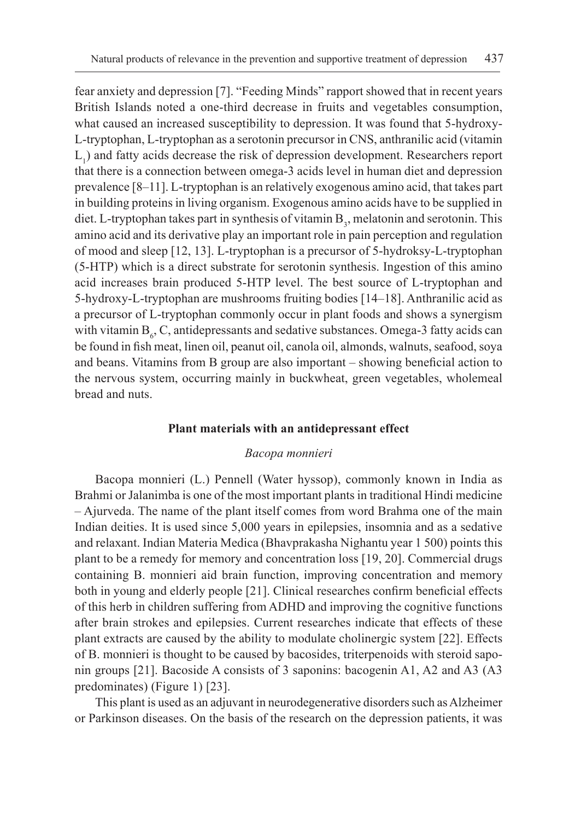fear anxiety and depression [7]. "Feeding Minds" rapport showed that in recent years British Islands noted a one-third decrease in fruits and vegetables consumption, what caused an increased susceptibility to depression. It was found that 5-hydroxy-L‑tryptophan, L-tryptophan as a serotonin precursor in CNS, anthranilic acid (vitamin  $L<sub>1</sub>$ ) and fatty acids decrease the risk of depression development. Researchers report that there is a connection between omega-3 acids level in human diet and depression prevalence [8–11]. L-tryptophan is an relatively exogenous amino acid, that takes part in building proteins in living organism. Exogenous amino acids have to be supplied in diet. L-tryptophan takes part in synthesis of vitamin  $B_3$ , melatonin and serotonin. This amino acid and its derivative play an important role in pain perception and regulation of mood and sleep [12, 13]. L-tryptophan is a precursor of 5-hydroksy-L‑tryptophan (5-HTP) which is a direct substrate for serotonin synthesis. Ingestion of this amino acid increases brain produced 5-HTP level. The best source of L-tryptophan and 5-hydroxy-L‑tryptophan are mushrooms fruiting bodies [14–18]. Anthranilic acid as a precursor of L-tryptophan commonly occur in plant foods and shows a synergism with vitamin  $B_6$ , C, antidepressants and sedative substances. Omega-3 fatty acids can be found in fish meat, linen oil, peanut oil, canola oil, almonds, walnuts, seafood, soya and beans. Vitamins from B group are also important – showing beneficial action to the nervous system, occurring mainly in buckwheat, green vegetables, wholemeal bread and nuts.

### **Plant materials with an antidepressant effect**

### *Bacopa monnieri*

Bacopa monnieri (L.) Pennell (Water hyssop), commonly known in India as Brahmi or Jalanimba is one of the most important plants in traditional Hindi medicine – Ajurveda. The name of the plant itself comes from word Brahma one of the main Indian deities. It is used since 5,000 years in epilepsies, insomnia and as a sedative and relaxant. Indian Materia Medica (Bhavprakasha Nighantu year 1 500) points this plant to be a remedy for memory and concentration loss [19, 20]. Commercial drugs containing B. monnieri aid brain function, improving concentration and memory both in young and elderly people [21]. Clinical researches confirm beneficial effects of this herb in children suffering from ADHD and improving the cognitive functions after brain strokes and epilepsies. Current researches indicate that effects of these plant extracts are caused by the ability to modulate cholinergic system [22]. Effects of B. monnieri is thought to be caused by bacosides, triterpenoids with steroid saponin groups [21]. Bacoside A consists of 3 saponins: bacogenin A1, A2 and A3 (A3 predominates) (Figure 1) [23].

This plant is used as an adjuvant in neurodegenerative disorders such as Alzheimer or Parkinson diseases. On the basis of the research on the depression patients, it was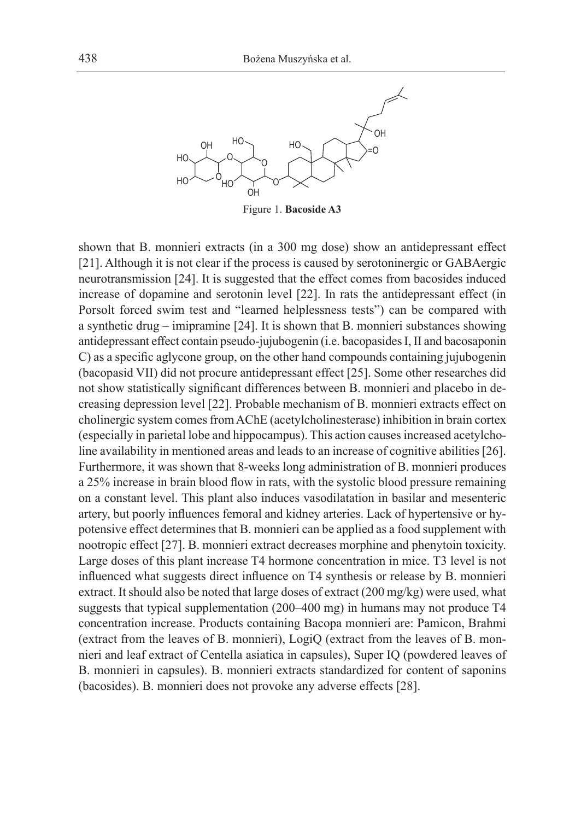

Figure 1. **Bacoside A3**

shown that B. monnieri extracts (in a 300 mg dose) show an antidepressant effect [21]. Although it is not clear if the process is caused by serotoninergic or GABAergic neurotransmission [24]. It is suggested that the effect comes from bacosides induced increase of dopamine and serotonin level [22]. In rats the antidepressant effect (in Porsolt forced swim test and "learned helplessness tests") can be compared with a synthetic drug – imipramine [24]. It is shown that B. monnieri substances showing antidepressant effect contain pseudo-jujubogenin (i.e. bacopasides I, II and bacosaponin C) as a specific aglycone group, on the other hand compounds containing jujubogenin (bacopasid VII) did not procure antidepressant effect [25]. Some other researches did not show statistically significant differences between B. monnieri and placebo in decreasing depression level [22]. Probable mechanism of B. monnieri extracts effect on cholinergic system comes from AChE (acetylcholinesterase) inhibition in brain cortex (especially in parietal lobe and hippocampus). This action causes increased acetylcholine availability in mentioned areas and leads to an increase of cognitive abilities [26]. Furthermore, it was shown that 8-weeks long administration of B. monnieri produces a 25% increase in brain blood flow in rats, with the systolic blood pressure remaining on a constant level. This plant also induces vasodilatation in basilar and mesenteric artery, but poorly influences femoral and kidney arteries. Lack of hypertensive or hypotensive effect determines that B. monnieri can be applied as a food supplement with nootropic effect [27]. B. monnieri extract decreases morphine and phenytoin toxicity. Large doses of this plant increase T4 hormone concentration in mice. T3 level is not influenced what suggests direct influence on T4 synthesis or release by B. monnieri extract. It should also be noted that large doses of extract (200 mg/kg) were used, what suggests that typical supplementation (200–400 mg) in humans may not produce T4 concentration increase. Products containing Bacopa monnieri are: Pamicon, Brahmi (extract from the leaves of B. monnieri), LogiQ (extract from the leaves of B. monnieri and leaf extract of Centella asiatica in capsules), Super IQ (powdered leaves of B. monnieri in capsules). B. monnieri extracts standardized for content of saponins (bacosides). B. monnieri does not provoke any adverse effects [28].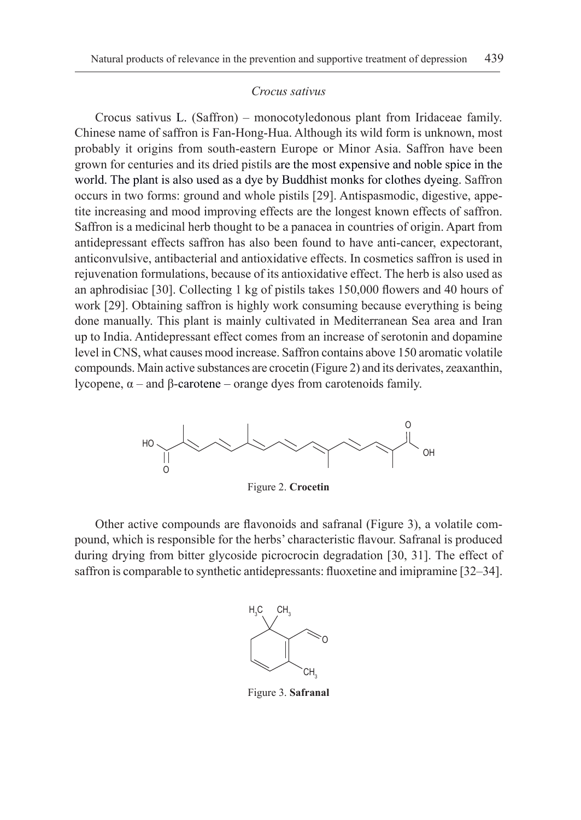## *Crocus sativus*

Crocus sativus L. (Saffron) – monocotyledonous plant from Iridaceae family. Chinese name of saffron is Fan-Hong-Hua. Although its wild form is unknown, most probably it origins from south-eastern Europe or Minor Asia. Saffron have been grown for centuries and its dried pistils are the most expensive and noble spice in the world. The plant is also used as a dye by Buddhist monks for clothes dyeing. Saffron occurs in two forms: ground and whole pistils [29]. Antispasmodic, digestive, appetite increasing and mood improving effects are the longest known effects of saffron. Saffron is a medicinal herb thought to be a panacea in countries of origin. Apart from antidepressant effects saffron has also been found to have anti-cancer, expectorant, anticonvulsive, antibacterial and antioxidative effects. In cosmetics saffron is used in rejuvenation formulations, because of its antioxidative effect. The herb is also used as an aphrodisiac [30]. Collecting 1 kg of pistils takes 150,000 flowers and 40 hours of work [29]. Obtaining saffron is highly work consuming because everything is being done manually. This plant is mainly cultivated in Mediterranean Sea area and Iran up to India. Antidepressant effect comes from an increase of serotonin and dopamine level in CNS, what causes mood increase. Saffron contains above 150 aromatic volatile compounds. Main active substances are crocetin (Figure 2) and its derivates, zeaxanthin, lycopene, α – and β-carotene – orange dyes from carotenoids family.



Figure 2. **Crocetin**

Other active compounds are flavonoids and safranal (Figure 3), a volatile compound, which is responsible for the herbs' characteristic flavour. Safranal is produced during drying from bitter glycoside picrocrocin degradation [30, 31]. The effect of saffron is comparable to synthetic antidepressants: fluoxetine and imipramine [32–34].



Figure 3. **Safranal**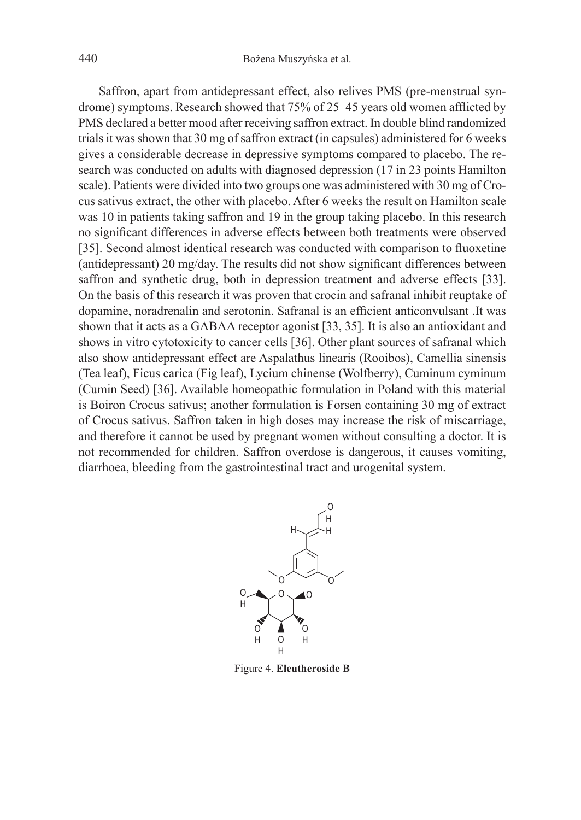Saffron, apart from antidepressant effect, also relives PMS (pre-menstrual syndrome) symptoms. Research showed that 75% of 25–45 years old women afflicted by PMS declared a better mood after receiving saffron extract. In double blind randomized trials it was shown that 30 mg of saffron extract (in capsules) administered for 6 weeks gives a considerable decrease in depressive symptoms compared to placebo. The research was conducted on adults with diagnosed depression (17 in 23 points Hamilton scale). Patients were divided into two groups one was administered with 30 mg of Crocus sativus extract, the other with placebo. After 6 weeks the result on Hamilton scale was 10 in patients taking saffron and 19 in the group taking placebo. In this research no significant differences in adverse effects between both treatments were observed [35]. Second almost identical research was conducted with comparison to fluoxetine (antidepressant) 20 mg/day. The results did not show significant differences between saffron and synthetic drug, both in depression treatment and adverse effects [33]. On the basis of this research it was proven that crocin and safranal inhibit reuptake of dopamine, noradrenalin and serotonin. Safranal is an efficient anticonvulsant .It was shown that it acts as a GABAA receptor agonist [33, 35]. It is also an antioxidant and shows in vitro cytotoxicity to cancer cells [36]. Other plant sources of safranal which also show antidepressant effect are Aspalathus linearis (Rooibos), Camellia sinensis (Tea leaf), Ficus carica (Fig leaf), Lycium chinense (Wolfberry), Cuminum cyminum (Cumin Seed) [36]. Available homeopathic formulation in Poland with this material is Boiron Crocus sativus; another formulation is Forsen containing 30 mg of extract of Crocus sativus. Saffron taken in high doses may increase the risk of miscarriage, and therefore it cannot be used by pregnant women without consulting a doctor. It is not recommended for children. Saffron overdose is dangerous, it causes vomiting, diarrhoea, bleeding from the gastrointestinal tract and urogenital system.



Figure 4. **Eleutheroside B**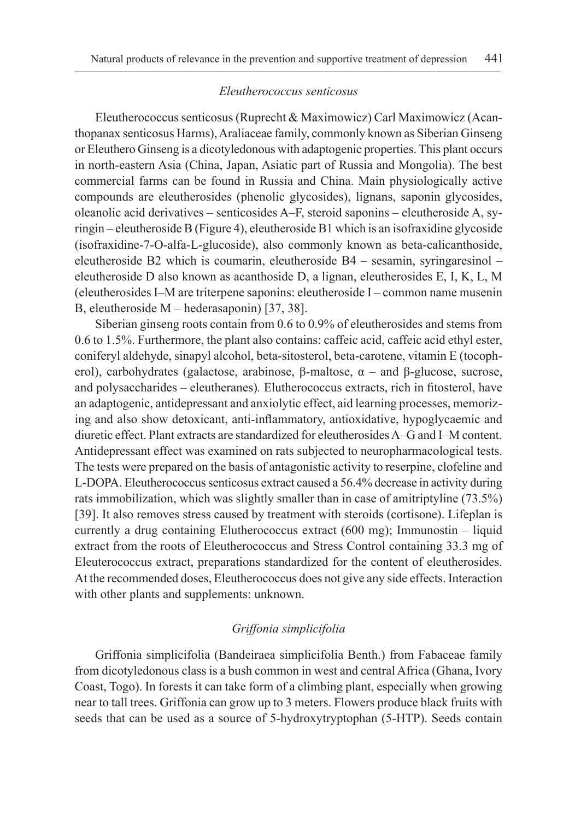# *Eleutherococcus senticosus*

Eleutherococcus senticosus (Ruprecht & Maximowicz) Carl Maximowicz (Acanthopanax senticosus Harms), Araliaceae family, commonly known as Siberian Ginseng or Eleuthero Ginseng is a dicotyledonous with adaptogenic properties. This plant occurs in north-eastern Asia (China, Japan, Asiatic part of Russia and Mongolia). The best commercial farms can be found in Russia and China. Main physiologically active compounds are eleutherosides (phenolic glycosides), lignans, saponin glycosides, oleanolic acid derivatives – senticosides A–F, steroid saponins – eleutheroside A, syringin – eleutheroside B (Figure 4), eleutheroside B1 which is an isofraxidine glycoside (isofraxidine-7-O-alfa-L‑glucoside), also commonly known as beta‑calicanthoside, eleutheroside B2 which is coumarin, eleutheroside B4 – sesamin, syringaresinol – eleutheroside D also known as acanthoside D, a lignan, eleutherosides E, I, K, L, M (eleutherosides I–M are triterpene saponins: eleutheroside I – common name musenin B, eleutheroside M – hederasaponin) [37, 38].

Siberian ginseng roots contain from 0.6 to 0.9% of eleutherosides and stems from 0.6 to 1.5%. Furthermore, the plant also contains: caffeic acid, caffeic acid ethyl ester, coniferyl aldehyde, sinapyl alcohol, beta-sitosterol, beta-carotene, vitamin E (tocopherol), carbohydrates (galactose, arabinose, β-maltose,  $\alpha$  – and β-glucose, sucrose, and polysaccharides – eleutheranes)*.* Elutherococcus extracts, rich in fitosterol, have an adaptogenic, antidepressant and anxiolytic effect, aid learning processes, memorizing and also show detoxicant, anti-inflammatory, antioxidative, hypoglycaemic and diuretic effect. Plant extracts are standardized for eleutherosides A–G and I–M content. Antidepressant effect was examined on rats subjected to neuropharmacological tests. The tests were prepared on the basis of antagonistic activity to reserpine, clofeline and L‑DOPA. Eleutherococcus senticosus extract caused a 56.4% decrease in activity during rats immobilization, which was slightly smaller than in case of amitriptyline (73.5%) [39]. It also removes stress caused by treatment with steroids (cortisone). Lifeplan is currently a drug containing Elutherococcus extract (600 mg); Immunostin – liquid extract from the roots of Eleutherococcus and Stress Control containing 33.3 mg of Eleuterococcus extract, preparations standardized for the content of eleutherosides. At the recommended doses, Eleutherococcus does not give any side effects. Interaction with other plants and supplements: unknown.

# *Griffonia simplicifolia*

Griffonia simplicifolia (Bandeiraea simplicifolia Benth.) from Fabaceae family from dicotyledonous class is a bush common in west and central Africa (Ghana, Ivory Coast, Togo). In forests it can take form of a climbing plant, especially when growing near to tall trees. Griffonia can grow up to 3 meters. Flowers produce black fruits with seeds that can be used as a source of 5-hydroxytryptophan (5-HTP). Seeds contain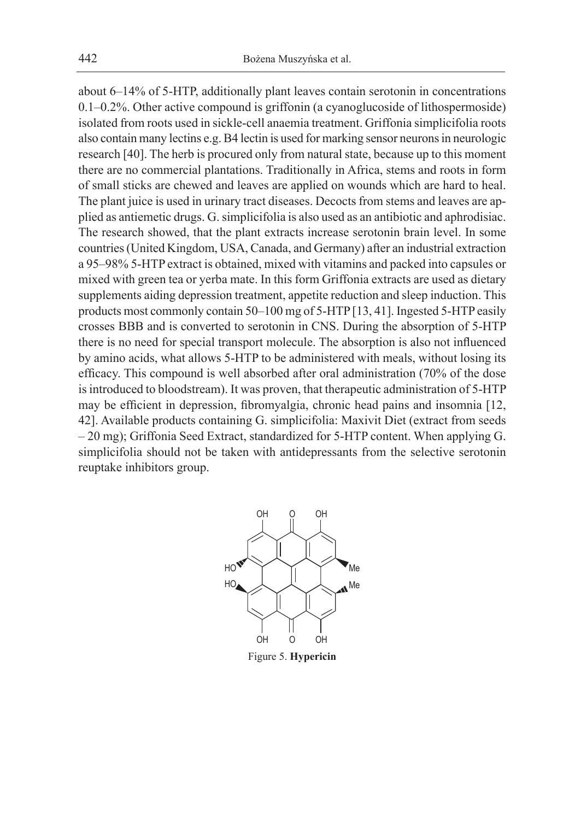about 6–14% of 5-HTP, additionally plant leaves contain serotonin in concentrations 0.1–0.2%. Other active compound is griffonin (a cyanoglucoside of lithospermoside) isolated from roots used in sickle-cell anaemia treatment. Griffonia simplicifolia roots also contain many lectins e.g. B4 lectin is used for marking sensor neurons in neurologic research [40]. The herb is procured only from natural state, because up to this moment there are no commercial plantations. Traditionally in Africa, stems and roots in form of small sticks are chewed and leaves are applied on wounds which are hard to heal. The plant juice is used in urinary tract diseases. Decocts from stems and leaves are applied as antiemetic drugs. G. simplicifolia is also used as an antibiotic and aphrodisiac. The research showed, that the plant extracts increase serotonin brain level. In some countries (United Kingdom, USA, Canada, and Germany) after an industrial extraction a 95–98% 5-HTP extract is obtained, mixed with vitamins and packed into capsules or mixed with green tea or yerba mate. In this form Griffonia extracts are used as dietary supplements aiding depression treatment, appetite reduction and sleep induction. This products most commonly contain 50–100 mg of 5-HTP [13, 41]. Ingested 5-HTP easily crosses BBB and is converted to serotonin in CNS. During the absorption of 5-HTP there is no need for special transport molecule. The absorption is also not influenced by amino acids, what allows 5-HTP to be administered with meals, without losing its efficacy. This compound is well absorbed after oral administration (70% of the dose is introduced to bloodstream). It was proven, that therapeutic administration of 5-HTP may be efficient in depression, fibromyalgia, chronic head pains and insomnia [12, 42]. Available products containing G. simplicifolia: Maxivit Diet (extract from seeds – 20 mg); Griffonia Seed Extract, standardized for 5-HTP content. When applying G. simplicifolia should not be taken with antidepressants from the selective serotonin reuptake inhibitors group.



Figure 5. **Hypericin**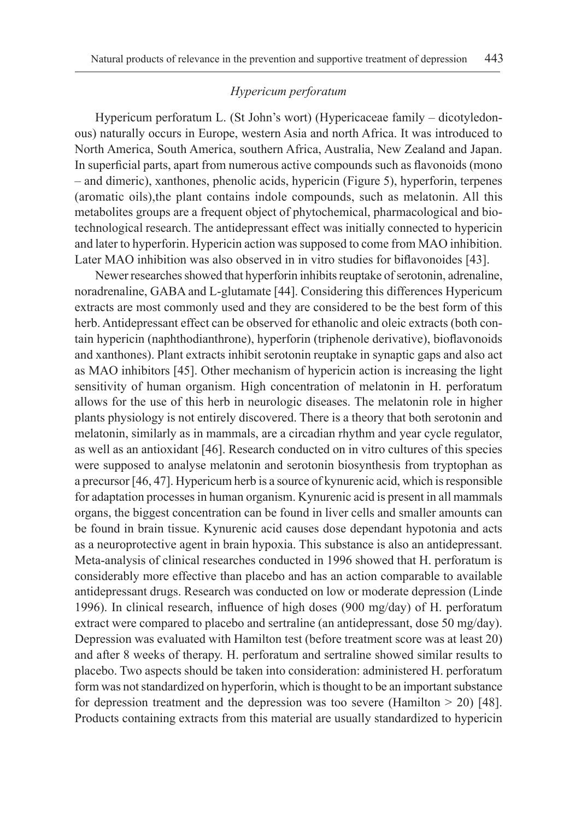# *Hypericum perforatum*

Hypericum perforatum L. (St John's wort) (Hypericaceae family – dicotyledonous) naturally occurs in Europe, western Asia and north Africa. It was introduced to North America, South America, southern Africa, Australia, New Zealand and Japan. In superficial parts, apart from numerous active compounds such as flavonoids (mono – and dimeric), xanthones, phenolic acids, hypericin (Figure 5), hyperforin, terpenes (aromatic oils),the plant contains indole compounds, such as melatonin. All this metabolites groups are a frequent object of phytochemical, pharmacological and biotechnological research. The antidepressant effect was initially connected to hypericin and later to hyperforin. Hypericin action was supposed to come from MAO inhibition. Later MAO inhibition was also observed in in vitro studies for biflavonoides [43].

Newer researches showed that hyperforin inhibits reuptake of serotonin, adrenaline, noradrenaline, GABA and L-glutamate [44]. Considering this differences Hypericum extracts are most commonly used and they are considered to be the best form of this herb. Antidepressant effect can be observed for ethanolic and oleic extracts (both contain hypericin (naphthodianthrone), hyperforin (triphenole derivative), bioflavonoids and xanthones). Plant extracts inhibit serotonin reuptake in synaptic gaps and also act as MAO inhibitors [45]. Other mechanism of hypericin action is increasing the light sensitivity of human organism. High concentration of melatonin in H. perforatum allows for the use of this herb in neurologic diseases. The melatonin role in higher plants physiology is not entirely discovered. There is a theory that both serotonin and melatonin, similarly as in mammals, are a circadian rhythm and year cycle regulator, as well as an antioxidant [46]. Research conducted on in vitro cultures of this species were supposed to analyse melatonin and serotonin biosynthesis from tryptophan as a precursor [46, 47]. Hypericum herb is a source of kynurenic acid, which is responsible for adaptation processes in human organism. Kynurenic acid is present in all mammals organs, the biggest concentration can be found in liver cells and smaller amounts can be found in brain tissue. Kynurenic acid causes dose dependant hypotonia and acts as a neuroprotective agent in brain hypoxia. This substance is also an antidepressant. Meta-analysis of clinical researches conducted in 1996 showed that H. perforatum is considerably more effective than placebo and has an action comparable to available antidepressant drugs. Research was conducted on low or moderate depression (Linde 1996). In clinical research, influence of high doses (900 mg/day) of H. perforatum extract were compared to placebo and sertraline (an antidepressant, dose 50 mg/day). Depression was evaluated with Hamilton test (before treatment score was at least 20) and after 8 weeks of therapy. H. perforatum and sertraline showed similar results to placebo. Two aspects should be taken into consideration: administered H. perforatum form was not standardized on hyperforin, which is thought to be an important substance for depression treatment and the depression was too severe (Hamilton  $> 20$ ) [48]. Products containing extracts from this material are usually standardized to hypericin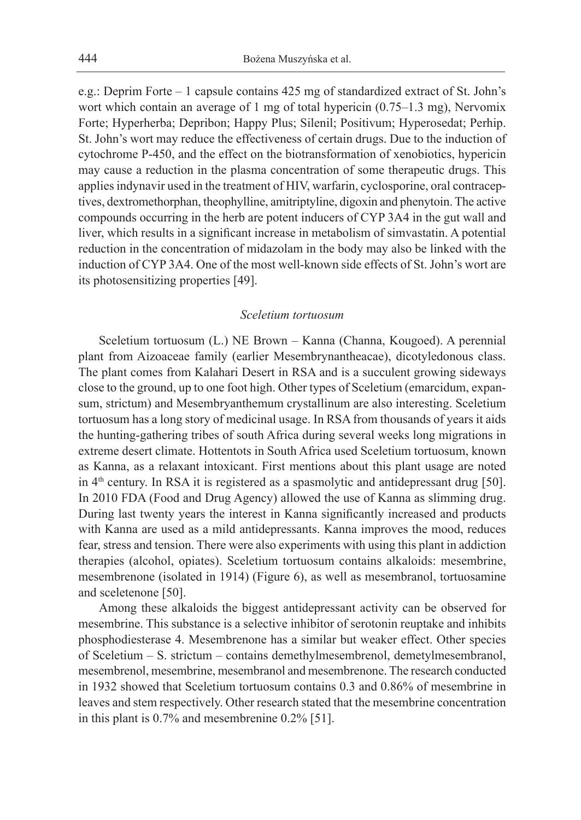e.g.: Deprim Forte – 1 capsule contains 425 mg of standardized extract of St. John's wort which contain an average of 1 mg of total hypericin (0.75–1.3 mg), Nervomix Forte; Hyperherba; Depribon; Happy Plus; Silenil; Positivum; Hyperosedat; Perhip. St. John's wort may reduce the effectiveness of certain drugs. Due to the induction of cytochrome P-450, and the effect on the biotransformation of xenobiotics, hypericin may cause a reduction in the plasma concentration of some therapeutic drugs. This applies indynavir used in the treatment of HIV, warfarin, cyclosporine, oral contraceptives, dextromethorphan, theophylline, amitriptyline, digoxin and phenytoin. The active compounds occurring in the herb are potent inducers of CYP 3A4 in the gut wall and liver, which results in a significant increase in metabolism of simvastatin. A potential reduction in the concentration of midazolam in the body may also be linked with the induction of CYP 3A4. One of the most well-known side effects of St. John's wort are its photosensitizing properties [49].

# *Sceletium tortuosum*

Sceletium tortuosum (L.) NE Brown – Kanna (Channa, Kougoed). A perennial plant from Aizoaceae family (earlier Mesembrynantheacae), dicotyledonous class. The plant comes from Kalahari Desert in RSA and is a succulent growing sideways close to the ground, up to one foot high. Other types of Sceletium (emarcidum, expansum, strictum) and Mesembryanthemum crystallinum are also interesting. Sceletium tortuosum has a long story of medicinal usage. In RSA from thousands of years it aids the hunting-gathering tribes of south Africa during several weeks long migrations in extreme desert climate. Hottentots in South Africa used Sceletium tortuosum, known as Kanna, as a relaxant intoxicant. First mentions about this plant usage are noted in  $4<sup>th</sup>$  century. In RSA it is registered as a spasmolytic and antidepressant drug [50]. In 2010 FDA (Food and Drug Agency) allowed the use of Kanna as slimming drug. During last twenty years the interest in Kanna significantly increased and products with Kanna are used as a mild antidepressants. Kanna improves the mood, reduces fear, stress and tension. There were also experiments with using this plant in addiction therapies (alcohol, opiates). Sceletium tortuosum contains alkaloids: mesembrine, mesembrenone (isolated in 1914) (Figure 6), as well as mesembranol, tortuosamine and sceletenone [50].

Among these alkaloids the biggest antidepressant activity can be observed for mesembrine. This substance is a selective inhibitor of serotonin reuptake and inhibits phosphodiesterase 4. Mesembrenone has a similar but weaker effect. Other species of Sceletium – S. strictum – contains demethylmesembrenol, demetylmesembranol, mesembrenol, mesembrine, mesembranol and mesembrenone. The research conducted in 1932 showed that Sceletium tortuosum contains 0.3 and 0.86% of mesembrine in leaves and stem respectively. Other research stated that the mesembrine concentration in this plant is 0.7% and mesembrenine 0.2% [51].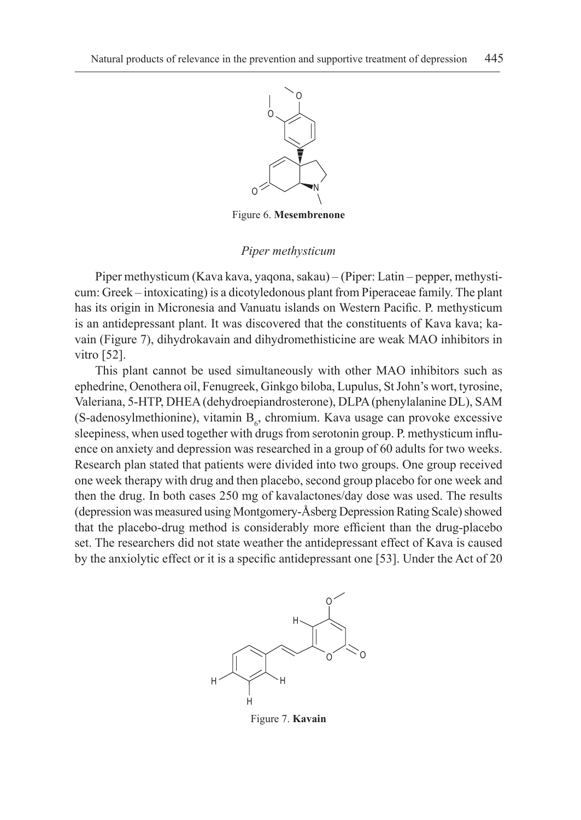

Figure 6. **Mesembrenone**

# *Piper methysticum*

Piper methysticum (Kava kava, yaqona, sakau) – (Piper: Latin – pepper, methysticum: Greek – intoxicating) is a dicotyledonous plant from Piperaceae family. The plant has its origin in Micronesia and Vanuatu islands on Western Pacific. P. methysticum is an antidepressant plant. It was discovered that the constituents of Kava kava; kavain (Figure 7), dihydrokavain and dihydromethisticine are weak MAO inhibitors in vitro [52].

This plant cannot be used simultaneously with other MAO inhibitors such as ephedrine, Oenothera oil, Fenugreek, Ginkgo biloba, Lupulus, St John's wort, tyrosine, Valeriana, 5‑HTP, DHEA (dehydroepiandrosterone), DLPA (phenylalanine DL), SAM (S-adenosylmethionine), vitamin  $B_6$ , chromium. Kava usage can provoke excessive sleepiness, when used together with drugs from serotonin group. P. methysticum influence on anxiety and depression was researched in a group of 60 adults for two weeks. Research plan stated that patients were divided into two groups. One group received one week therapy with drug and then placebo, second group placebo for one week and then the drug. In both cases 250 mg of kavalactones/day dose was used. The results (depression was measured using Montgomery-Åsberg Depression Rating Scale) showed that the placebo-drug method is considerably more efficient than the drug-placebo set. The researchers did not state weather the antidepressant effect of Kava is caused by the anxiolytic effect or it is a specific antidepressant one [53]. Under the Act of 20



Figure 7. **Kavain**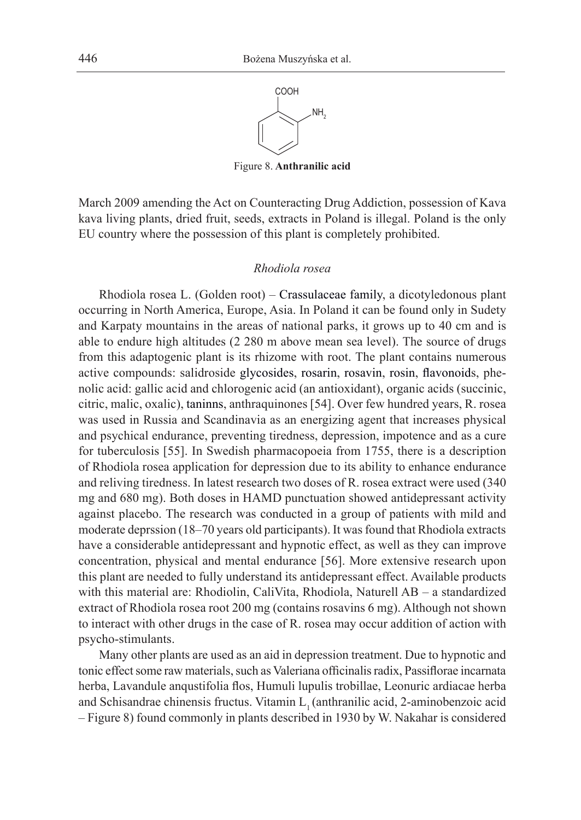

Figure 8. **Anthranilic acid**

March 2009 amending the Act on Counteracting Drug Addiction, possession of Kava kava living plants, dried fruit, seeds, extracts in Poland is illegal. Poland is the only EU country where the possession of this plant is completely prohibited.

#### *Rhodiola rosea*

Rhodiola rosea L. (Golden root) – Crassulaceae family, a dicotyledonous plant occurring in North America, Europe, Asia. In Poland it can be found only in Sudety and Karpaty mountains in the areas of national parks, it grows up to 40 cm and is able to endure high altitudes (2 280 m above mean sea level). The source of drugs from this adaptogenic plant is its rhizome with root. The plant contains numerous active compounds: salidroside glycosides, rosarin, rosavin, rosin, flavonoids, phenolic acid: gallic acid and chlorogenic acid (an antioxidant), organic acids (succinic, citric, malic, oxalic), taninns, anthraquinones [54]. Over few hundred years, R. rosea was used in Russia and Scandinavia as an energizing agent that increases physical and psychical endurance, preventing tiredness, depression, impotence and as a cure for tuberculosis [55]. In Swedish pharmacopoeia from 1755, there is a description of Rhodiola rosea application for depression due to its ability to enhance endurance and reliving tiredness. In latest research two doses of R. rosea extract were used (340 mg and 680 mg). Both doses in HAMD punctuation showed antidepressant activity against placebo. The research was conducted in a group of patients with mild and moderate deprssion (18–70 years old participants). It was found that Rhodiola extracts have a considerable antidepressant and hypnotic effect, as well as they can improve concentration, physical and mental endurance [56]. More extensive research upon this plant are needed to fully understand its antidepressant effect. Available products with this material are: Rhodiolin, CaliVita, Rhodiola, Naturell AB – a standardized extract of Rhodiola rosea root 200 mg (contains rosavins 6 mg). Although not shown to interact with other drugs in the case of R. rosea may occur addition of action with psycho-stimulants.

Many other plants are used as an aid in depression treatment. Due to hypnotic and tonic effect some raw materials, such as Valeriana officinalis radix, Passiflorae incarnata herba, Lavandule anqustifolia flos, Humuli lupulis trobillae, Leonuric ardiacae herba and Schisandrae chinensis fructus. Vitamin L<sub>1</sub> (anthranilic acid, 2-aminobenzoic acid – Figure 8) found commonly in plants described in 1930 by W. Nakahar is considered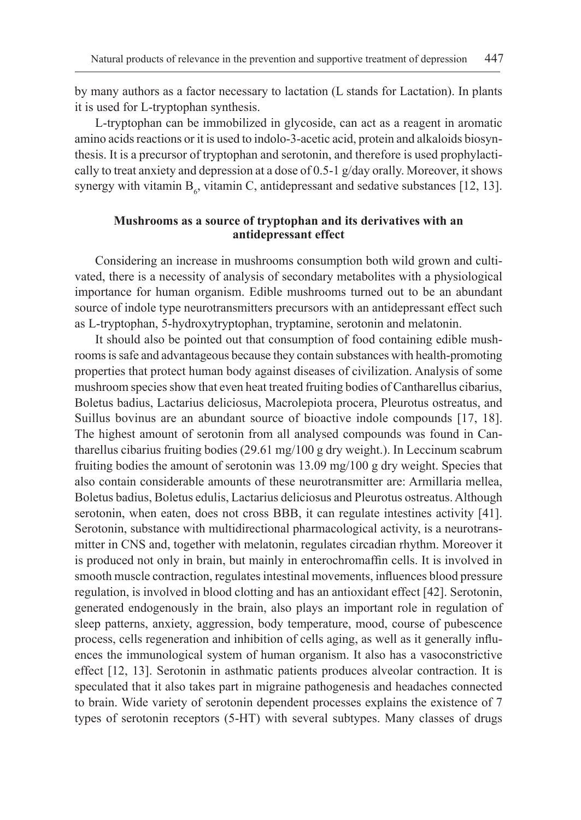by many authors as a factor necessary to lactation (L stands for Lactation). In plants it is used for L-tryptophan synthesis.

L-tryptophan can be immobilized in glycoside, can act as a reagent in aromatic amino acids reactions or it is used to indolo-3-acetic acid, protein and alkaloids biosynthesis. It is a precursor of tryptophan and serotonin, and therefore is used prophylactically to treat anxiety and depression at a dose of 0.5-1 g/day orally. Moreover, it shows synergy with vitamin  $B_6$ , vitamin C, antidepressant and sedative substances [12, 13].

# **Mushrooms as a source of tryptophan and its derivatives with an antidepressant effect**

Considering an increase in mushrooms consumption both wild grown and cultivated, there is a necessity of analysis of secondary metabolites with a physiological importance for human organism. Edible mushrooms turned out to be an abundant source of indole type neurotransmitters precursors with an antidepressant effect such as L-tryptophan, 5-hydroxytryptophan, tryptamine, serotonin and melatonin.

It should also be pointed out that consumption of food containing edible mushrooms is safe and advantageous because they contain substances with health-promoting properties that protect human body against diseases of civilization. Analysis of some mushroom species show that even heat treated fruiting bodies of Cantharellus cibarius, Boletus badius, Lactarius deliciosus, Macrolepiota procera, Pleurotus ostreatus, and Suillus bovinus are an abundant source of bioactive indole compounds [17, 18]. The highest amount of serotonin from all analysed compounds was found in Cantharellus cibarius fruiting bodies (29.61 mg/100 g dry weight.). In Leccinum scabrum fruiting bodies the amount of serotonin was 13.09 mg/100 g dry weight. Species that also contain considerable amounts of these neurotransmitter are: Armillaria mellea, Boletus badius, Boletus edulis, Lactarius deliciosus and Pleurotus ostreatus. Although serotonin, when eaten, does not cross BBB, it can regulate intestines activity [41]. Serotonin, substance with multidirectional pharmacological activity, is a neurotransmitter in CNS and, together with melatonin, regulates circadian rhythm. Moreover it is produced not only in brain, but mainly in enterochromaffin cells. It is involved in smooth muscle contraction, regulates intestinal movements, influences blood pressure regulation, is involved in blood clotting and has an antioxidant effect [42]. Serotonin, generated endogenously in the brain, also plays an important role in regulation of sleep patterns, anxiety, aggression, body temperature, mood, course of pubescence process, cells regeneration and inhibition of cells aging, as well as it generally influences the immunological system of human organism. It also has a vasoconstrictive effect [12, 13]. Serotonin in asthmatic patients produces alveolar contraction. It is speculated that it also takes part in migraine pathogenesis and headaches connected to brain. Wide variety of serotonin dependent processes explains the existence of 7 types of serotonin receptors (5-HT) with several subtypes. Many classes of drugs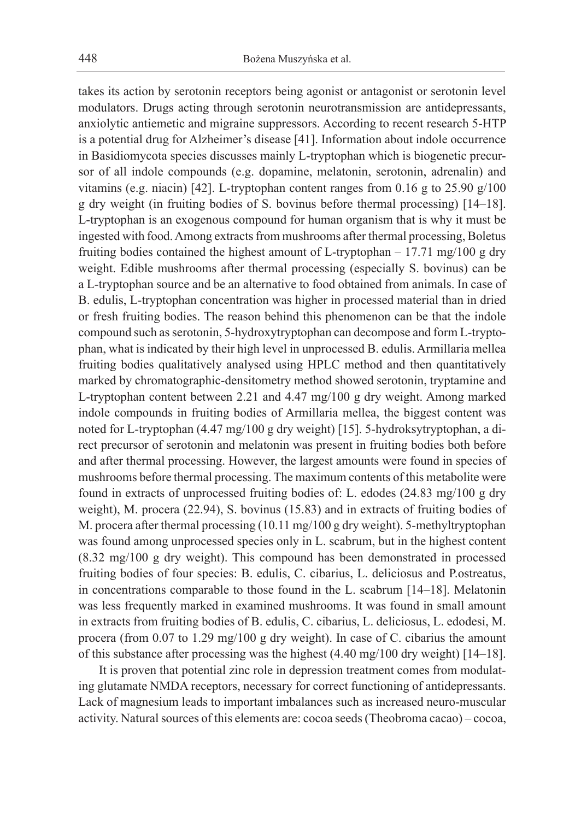takes its action by serotonin receptors being agonist or antagonist or serotonin level modulators. Drugs acting through serotonin neurotransmission are antidepressants, anxiolytic antiemetic and migraine suppressors. According to recent research 5-HTP is a potential drug for Alzheimer's disease [41]. Information about indole occurrence in Basidiomycota species discusses mainly L-tryptophan which is biogenetic precursor of all indole compounds (e.g. dopamine, melatonin, serotonin, adrenalin) and vitamins (e.g. niacin) [42]. L-tryptophan content ranges from 0.16 g to 25.90 g/100 g dry weight (in fruiting bodies of S. bovinus before thermal processing) [14–18]. L-tryptophan is an exogenous compound for human organism that is why it must be ingested with food. Among extracts from mushrooms after thermal processing, Boletus fruiting bodies contained the highest amount of L-tryptophan – 17.71 mg/100 g dry weight. Edible mushrooms after thermal processing (especially S. bovinus) can be a L-tryptophan source and be an alternative to food obtained from animals. In case of B. edulis, L-tryptophan concentration was higher in processed material than in dried or fresh fruiting bodies. The reason behind this phenomenon can be that the indole compound such as serotonin, 5-hydroxytryptophan can decompose and form L-tryptophan, what is indicated by their high level in unprocessed B. edulis. Armillaria mellea fruiting bodies qualitatively analysed using HPLC method and then quantitatively marked by chromatographic-densitometry method showed serotonin, tryptamine and L-tryptophan content between 2.21 and 4.47 mg/100 g dry weight. Among marked indole compounds in fruiting bodies of Armillaria mellea, the biggest content was noted for L-tryptophan (4.47 mg/100 g dry weight) [15]. 5-hydroksytryptophan, a direct precursor of serotonin and melatonin was present in fruiting bodies both before and after thermal processing. However, the largest amounts were found in species of mushrooms before thermal processing. The maximum contents of this metabolite were found in extracts of unprocessed fruiting bodies of: L. edodes (24.83 mg/100 g dry weight), M. procera (22.94), S. bovinus (15.83) and in extracts of fruiting bodies of M. procera after thermal processing (10.11 mg/100 g dry weight). 5-methyltryptophan was found among unprocessed species only in L. scabrum, but in the highest content (8.32 mg/100 g dry weight). This compound has been demonstrated in processed fruiting bodies of four species: B. edulis, C. cibarius, L. deliciosus and P.ostreatus, in concentrations comparable to those found in the L. scabrum [14–18]. Melatonin was less frequently marked in examined mushrooms. It was found in small amount in extracts from fruiting bodies of B. edulis, C. cibarius, L. deliciosus, L. edodesi, M. procera (from 0.07 to 1.29 mg/100 g dry weight). In case of C. cibarius the amount of this substance after processing was the highest (4.40 mg/100 dry weight) [14–18].

It is proven that potential zinc role in depression treatment comes from modulating glutamate NMDA receptors, necessary for correct functioning of antidepressants. Lack of magnesium leads to important imbalances such as increased neuro-muscular activity. Natural sources of this elements are: cocoa seeds (Theobroma cacao) – cocoa,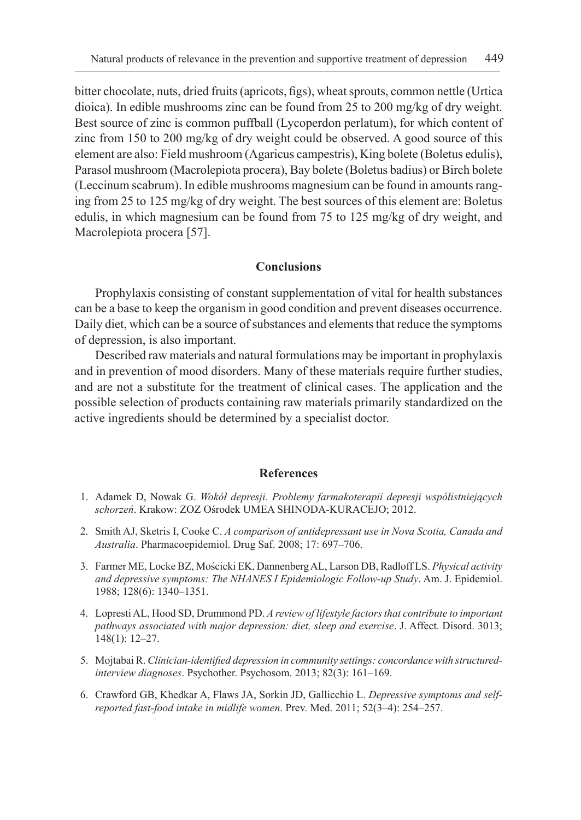bitter chocolate, nuts, dried fruits (apricots, figs), wheat sprouts, common nettle (Urtica dioica). In edible mushrooms zinc can be found from 25 to 200 mg/kg of dry weight. Best source of zinc is common puffball (Lycoperdon perlatum), for which content of zinc from 150 to 200 mg/kg of dry weight could be observed. A good source of this element are also: Field mushroom (Agaricus campestris), King bolete (Boletus edulis), Parasol mushroom (Macrolepiota procera), Bay bolete (Boletus badius) or Birch bolete (Leccinum scabrum). In edible mushrooms magnesium can be found in amounts ranging from 25 to 125 mg/kg of dry weight. The best sources of this element are: Boletus edulis, in which magnesium can be found from 75 to 125 mg/kg of dry weight, and Macrolepiota procera [57].

# **Conclusions**

Prophylaxis consisting of constant supplementation of vital for health substances can be a base to keep the organism in good condition and prevent diseases occurrence. Daily diet, which can be a source of substances and elements that reduce the symptoms of depression, is also important.

Described raw materials and natural formulations may be important in prophylaxis and in prevention of mood disorders. Many of these materials require further studies, and are not a substitute for the treatment of clinical cases. The application and the possible selection of products containing raw materials primarily standardized on the active ingredients should be determined by a specialist doctor.

### **References**

- 1. Adamek D, Nowak G. *Wokół depresji. Problemy farmakoterapii depresji współistniejących schorzeń*. Krakow: ZOZ Ośrodek UMEA SHINODA-KURACEJO; 2012.
- 2. Smith AJ, Sketris I, Cooke C. *A comparison of antidepressant use in Nova Scotia, Canada and Australia*. Pharmacoepidemiol. Drug Saf. 2008; 17: 697–706.
- 3. Farmer ME, Locke BZ, Mościcki EK, Dannenberg AL, Larson DB, Radloff LS. *Physical activity and depressive symptoms: The NHANES I Epidemiologic Follow-up Study*. Am. J. Epidemiol. 1988; 128(6): 1340–1351.
- 4. Lopresti AL, Hood SD, Drummond PD. *A review of lifestyle factors that contribute to important pathways associated with major depression: diet, sleep and exercise*. J. Affect. Disord. 3013; 148(1): 12–27.
- 5. Mojtabai R. *Clinician-identified depression in community settings: concordance with structuredinterview diagnoses*. Psychother. Psychosom. 2013; 82(3): 161–169.
- 6. Crawford GB, Khedkar A, Flaws JA, Sorkin JD, Gallicchio L. *Depressive symptoms and selfreported fast-food intake in midlife women*. Prev. Med. 2011; 52(3–4): 254–257.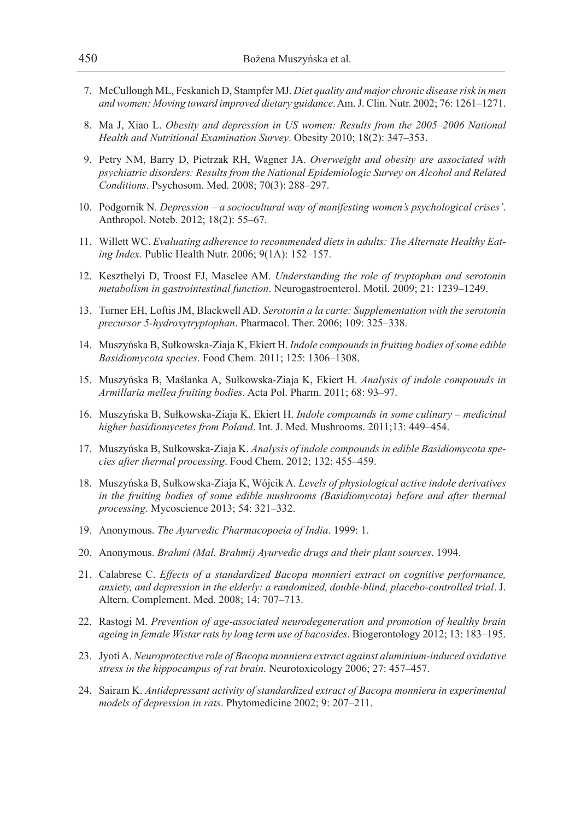- 7. McCullough ML, Feskanich D, Stampfer MJ. *Diet quality and major chronic disease risk in men and women: Moving toward improved dietary guidance*. Am. J. Clin. Nutr. 2002; 76: 1261–1271.
- 8. Ma J, Xiao L. *Obesity and depression in US women: Results from the 2005–2006 National Health and Nutritional Examination Survey*. Obesity 2010; 18(2): 347–353.
- 9. Petry NM, Barry D, Pietrzak RH, Wagner JA. *Overweight and obesity are associated with psychiatric disorders: Results from the National Epidemiologic Survey on Alcohol and Related Conditions*. Psychosom. Med. 2008; 70(3): 288–297.
- 10. Podgornik N. *Depression a sociocultural way of manifesting women's psychological crises'*. Anthropol. Noteb. 2012; 18(2): 55–67.
- 11. Willett WC. *Evaluating adherence to recommended diets in adults: The Alternate Healthy Eating Index*. Public Health Nutr. 2006; 9(1A): 152–157.
- 12. Keszthelyi D, Troost FJ, Masclee AM. *Understanding the role of tryptophan and serotonin metabolism in gastrointestinal function*. Neurogastroenterol. Motil. 2009; 21: 1239–1249.
- 13. Turner EH, Loftis JM, Blackwell AD. *Serotonin a la carte: Supplementation with the serotonin precursor 5-hydroxytryptophan*. Pharmacol. Ther. 2006; 109: 325–338.
- 14. Muszyńska B, Sułkowska-Ziaja K, Ekiert H. *Indole compounds in fruiting bodies of some edible Basidiomycota species*. Food Chem. 2011; 125: 1306–1308.
- 15. Muszyńska B, Maślanka A, Sułkowska-Ziaja K, Ekiert H. *Analysis of indole compounds in Armillaria mellea fruiting bodies*. Acta Pol. Pharm. 2011; 68: 93–97.
- 16. Muszyńska B, Sułkowska-Ziaja K, Ekiert H. *Indole compounds in some culinary medicinal higher basidiomycetes from Poland*. Int. J. Med. Mushrooms. 2011;13: 449–454.
- 17. Muszyńska B, Sułkowska-Ziaja K. *Analysis of indole compounds in edible Basidiomycota species after thermal processing*. Food Chem. 2012; 132: 455–459.
- 18. Muszyńska B, Sułkowska-Ziaja K, Wójcik A. *Levels of physiological active indole derivatives in the fruiting bodies of some edible mushrooms (Basidiomycota) before and after thermal processing*. Mycoscience 2013; 54: 321–332.
- 19. Anonymous. *The Ayurvedic Pharmacopoeia of India*. 1999: 1.
- 20. Anonymous. *Brahmi (Mal. Brahmi) Ayurvedic drugs and their plant sources*. 1994.
- 21. Calabrese C. *Effects of a standardized Bacopa monnieri extract on cognitive performance, anxiety, and depression in the elderly: a randomized, double-blind, placebo-controlled trial*. J. Altern. Complement. Med. 2008; 14: 707–713.
- 22. Rastogi M. *Prevention of age-associated neurodegeneration and promotion of healthy brain ageing in female Wistar rats by long term use of bacosides*. Biogerontology 2012; 13: 183–195.
- 23. Jyoti A. *Neuroprotective role of Bacopa monniera extract against aluminium-induced oxidative stress in the hippocampus of rat brain*. Neurotoxicology 2006; 27: 457–457.
- 24. Sairam K. *Antidepressant activity of standardized extract of Bacopa monniera in experimental models of depression in rats*. Phytomedicine 2002; 9: 207–211.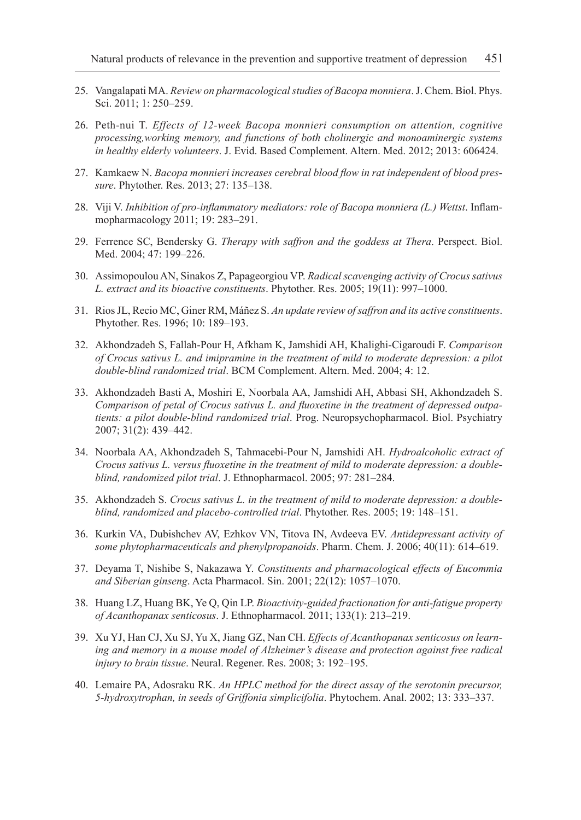- 25. Vangalapati MA. *Review on pharmacological studies of Bacopa monniera*. J. Chem. Biol. Phys. Sci. 2011; 1: 250–259.
- 26. Peth-nui T. *Effects of 12-week Bacopa monnieri consumption on attention, cognitive processing,working memory, and functions of both cholinergic and monoaminergic systems in healthy elderly volunteers*. J. Evid. Based Complement. Altern. Med. 2012; 2013: 606424.
- 27. Kamkaew N. *Bacopa monnieri increases cerebral blood flow in rat independent of blood pressure*. Phytother. Res. 2013; 27: 135–138.
- 28. Viji V. *Inhibition of pro-inflammatory mediators: role of Bacopa monniera (L.) Wettst*. Inflammopharmacology 2011; 19: 283–291.
- 29. Ferrence SC, Bendersky G. *Therapy with saffron and the goddess at Thera*. Perspect. Biol. Med. 2004; 47: 199–226.
- 30. Assimopoulou AN, Sinakos Z, Papageorgiou VP. *Radical scavenging activity of Crocus sativus L. extract and its bioactive constituents*. Phytother. Res. 2005; 19(11): 997–1000.
- 31. Rios JL, Recio MC, Giner RM, Máñez S. *An update review of saffron and its active constituents*. Phytother. Res. 1996; 10: 189–193.
- 32. Akhondzadeh S, Fallah-Pour H, Afkham K, Jamshidi AH, Khalighi-Cigaroudi F. *Comparison of Crocus sativus L. and imipramine in the treatment of mild to moderate depression: a pilot double-blind randomized trial*. BCM Complement. Altern. Med. 2004; 4: 12.
- 33. Akhondzadeh Basti A, Moshiri E, Noorbala AA, Jamshidi AH, Abbasi SH, Akhondzadeh S. *Comparison of petal of Crocus sativus L. and fluoxetine in the treatment of depressed outpatients: a pilot double-blind randomized trial*. Prog. Neuropsychopharmacol. Biol. Psychiatry 2007; 31(2): 439–442.
- 34. Noorbala AA, Akhondzadeh S, Tahmacebi-Pour N, Jamshidi AH. *Hydroalcoholic extract of Crocus sativus L. versus fluoxetine in the treatment of mild to moderate depression: a doubleblind, randomized pilot trial*. J. Ethnopharmacol. 2005; 97: 281–284.
- 35. Akhondzadeh S. *Crocus sativus L. in the treatment of mild to moderate depression: a doubleblind, randomized and placebo-controlled trial*. Phytother. Res. 2005; 19: 148–151.
- 36. Kurkin VA, Dubishchev AV, Ezhkov VN, Titova IN, Avdeeva EV. *Antidepressant activity of some phytopharmaceuticals and phenylpropanoids*. Pharm. Chem. J. 2006; 40(11): 614–619.
- 37. Deyama T, Nishibe S, Nakazawa Y. *Constituents and pharmacological effects of Eucommia and Siberian ginseng*. Acta Pharmacol. Sin. 2001; 22(12): 1057–1070.
- 38. Huang LZ, Huang BK, Ye Q, Qin LP. *Bioactivity-guided fractionation for anti-fatigue property of Acanthopanax senticosus*. J. Ethnopharmacol. 2011; 133(1): 213–219.
- 39. Xu YJ, Han CJ, Xu SJ, Yu X, Jiang GZ, Nan CH. *Effects of Acanthopanax senticosus on learning and memory in a mouse model of Alzheimer's disease and protection against free radical injury to brain tissue*. Neural. Regener. Res. 2008; 3: 192–195.
- 40. Lemaire PA, Adosraku RK. *An HPLC method for the direct assay of the serotonin precursor, 5-hydroxytrophan, in seeds of Griffonia simplicifolia*. Phytochem. Anal. 2002; 13: 333–337.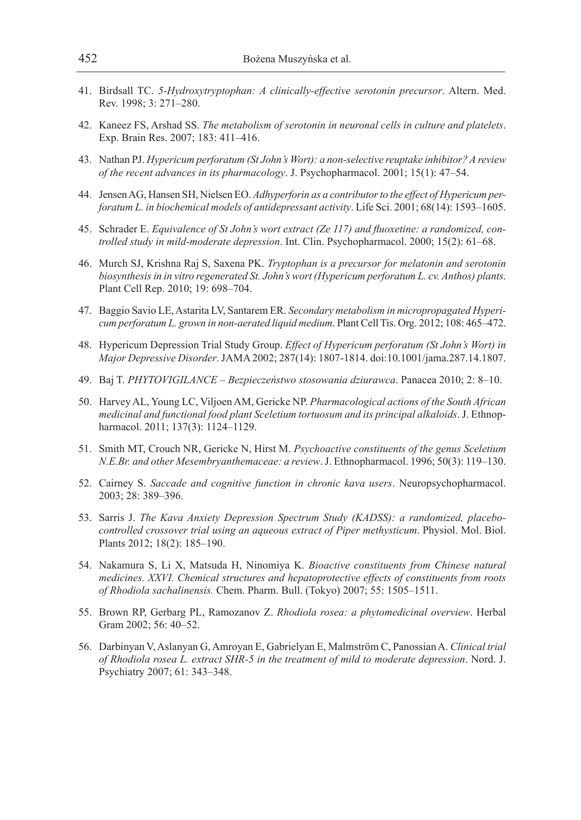- 41. Birdsall TC. *5-Hydroxytryptophan: A clinically-effective serotonin precursor*. Altern. Med. Rev. 1998; 3: 271–280.
- 42. Kaneez FS, Arshad SS. *The metabolism of serotonin in neuronal cells in culture and platelets*. Exp. Brain Res. 2007; 183: 411–416.
- 43. Nathan PJ. *Hypericum perforatum (St John's Wort): a non-selective reuptake inhibitor? A review of the recent advances in its pharmacology*. J. Psychopharmacol. 2001; 15(1): 47–54.
- 44. Jensen AG, Hansen SH, Nielsen EO. *Adhyperforin as a contributor to the effect of Hypericum perforatum L. in biochemical models of antidepressant activity*. Life Sci. 2001; 68(14): 1593–1605.
- 45. Schrader E. *Equivalence of St John's wort extract (Ze 117) and fluoxetine: a randomized, controlled study in mild-moderate depression*. Int. Clin. Psychopharmacol. 2000; 15(2): 61–68.
- 46. Murch SJ, Krishna Raj S, Saxena PK. *Tryptophan is a precursor for melatonin and serotonin biosynthesis in in vitro regenerated St. John's wort (Hypericum perforatum L. cv. Anthos) plants*. Plant Cell Rep. 2010; 19: 698–704.
- 47. Baggio Savio LE, Astarita LV, Santarem ER. *Secondary metabolism in micropropagated Hypericum perforatum L. grown in non-aerated liquid medium*. Plant Cell Tis. Org. 2012; 108: 465–472.
- 48. Hypericum Depression Trial Study Group. *Effect of Hypericum perforatum (St John's Wort) in Major Depressive Disorder*. JAMA 2002; 287(14): 1807-1814. doi:10.1001/jama.287.14.1807.
- 49. Baj T. *PHYTOVIGILANCE Bezpieczeństwo stosowania dziurawca*. Panacea 2010; 2: 8–10.
- 50. Harvey AL, Young LC, Viljoen AM, Gericke NP. *Pharmacological actions of the South African medicinal and functional food plant Sceletium tortuosum and its principal alkaloids*. J. Ethnopharmacol. 2011; 137(3): 1124–1129.
- 51. Smith MT, Crouch NR, Gericke N, Hirst M. *Psychoactive constituents of the genus Sceletium N.E.Br. and other Mesembryanthemaceae: a review*. J. Ethnopharmacol. 1996; 50(3): 119–130.
- 52. Cairney S. *Saccade and cognitive function in chronic kava users*. Neuropsychopharmacol. 2003; 28: 389–396.
- 53. Sarris J. *The Kava Anxiety Depression Spectrum Study (KADSS): a randomized, placebocontrolled crossover trial using an aqueous extract of Piper methysticum*. Physiol. Mol. Biol. Plants 2012; 18(2): 185–190.
- 54. Nakamura S, Li X, Matsuda H, Ninomiya K. *Bioactive constituents from Chinese natural medicines. XXVI. Chemical structures and hepatoprotective effects of constituents from roots of Rhodiola sachalinensis.* Chem. Pharm. Bull. (Tokyo) 2007; 55: 1505–1511.
- 55. Brown RP, Gerbarg PL, Ramozanov Z. *Rhodiola rosea: a phytomedicinal overview*. Herbal Gram 2002; 56: 40–52.
- 56. Darbinyan V, Aslanyan G, Amroyan E, Gabrielyan E, Malmström C, Panossian A. *Clinical trial of Rhodiola rosea L. extract SHR-5 in the treatment of mild to moderate depression*. Nord. J. Psychiatry 2007; 61: 343–348.